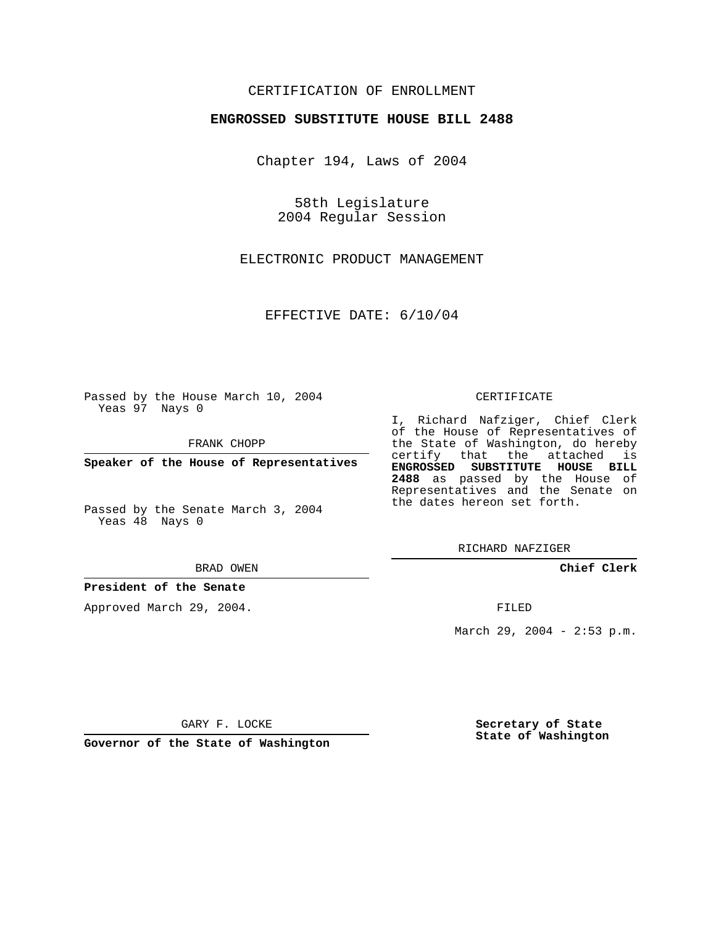## CERTIFICATION OF ENROLLMENT

### **ENGROSSED SUBSTITUTE HOUSE BILL 2488**

Chapter 194, Laws of 2004

58th Legislature 2004 Regular Session

ELECTRONIC PRODUCT MANAGEMENT

EFFECTIVE DATE: 6/10/04

Passed by the House March 10, 2004 Yeas 97 Nays 0

FRANK CHOPP

**Speaker of the House of Representatives**

Passed by the Senate March 3, 2004 Yeas 48 Nays 0

#### BRAD OWEN

## **President of the Senate**

Approved March 29, 2004.

#### CERTIFICATE

I, Richard Nafziger, Chief Clerk of the House of Representatives of the State of Washington, do hereby certify that the attached is **ENGROSSED SUBSTITUTE HOUSE BILL 2488** as passed by the House of Representatives and the Senate on the dates hereon set forth.

RICHARD NAFZIGER

**Chief Clerk**

FILED

March 29, 2004 - 2:53 p.m.

GARY F. LOCKE

**Governor of the State of Washington**

**Secretary of State State of Washington**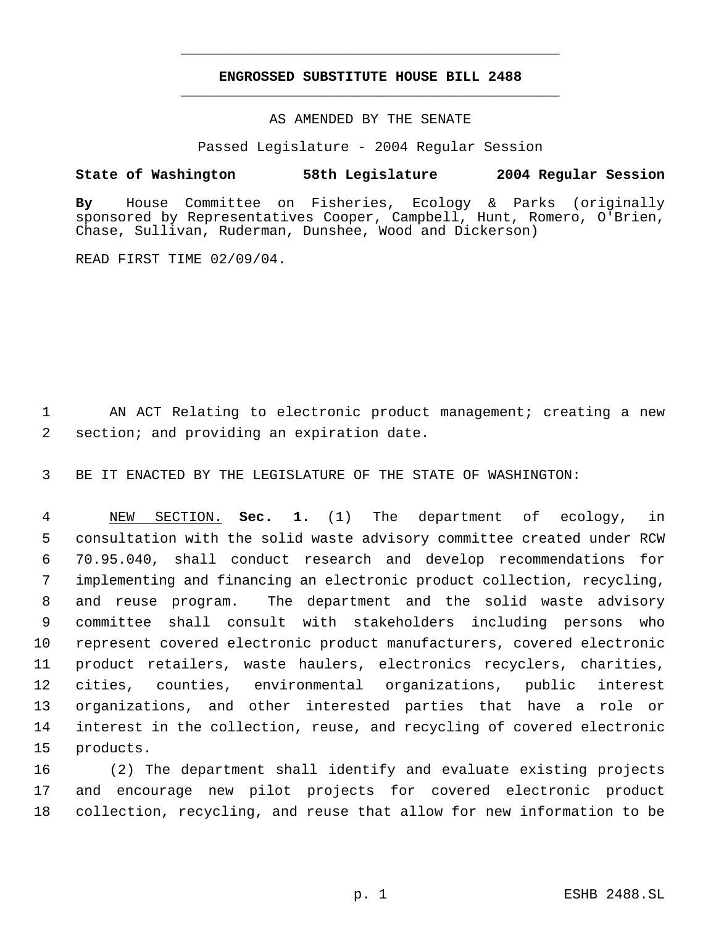# **ENGROSSED SUBSTITUTE HOUSE BILL 2488** \_\_\_\_\_\_\_\_\_\_\_\_\_\_\_\_\_\_\_\_\_\_\_\_\_\_\_\_\_\_\_\_\_\_\_\_\_\_\_\_\_\_\_\_\_

\_\_\_\_\_\_\_\_\_\_\_\_\_\_\_\_\_\_\_\_\_\_\_\_\_\_\_\_\_\_\_\_\_\_\_\_\_\_\_\_\_\_\_\_\_

AS AMENDED BY THE SENATE

Passed Legislature - 2004 Regular Session

## **State of Washington 58th Legislature 2004 Regular Session**

**By** House Committee on Fisheries, Ecology & Parks (originally sponsored by Representatives Cooper, Campbell, Hunt, Romero, O'Brien, Chase, Sullivan, Ruderman, Dunshee, Wood and Dickerson)

READ FIRST TIME 02/09/04.

 1 AN ACT Relating to electronic product management; creating a new 2 section; and providing an expiration date.

3 BE IT ENACTED BY THE LEGISLATURE OF THE STATE OF WASHINGTON:

 NEW SECTION. **Sec. 1.** (1) The department of ecology, in consultation with the solid waste advisory committee created under RCW 70.95.040, shall conduct research and develop recommendations for implementing and financing an electronic product collection, recycling, and reuse program. The department and the solid waste advisory committee shall consult with stakeholders including persons who represent covered electronic product manufacturers, covered electronic product retailers, waste haulers, electronics recyclers, charities, cities, counties, environmental organizations, public interest organizations, and other interested parties that have a role or interest in the collection, reuse, and recycling of covered electronic products.

16 (2) The department shall identify and evaluate existing projects 17 and encourage new pilot projects for covered electronic product 18 collection, recycling, and reuse that allow for new information to be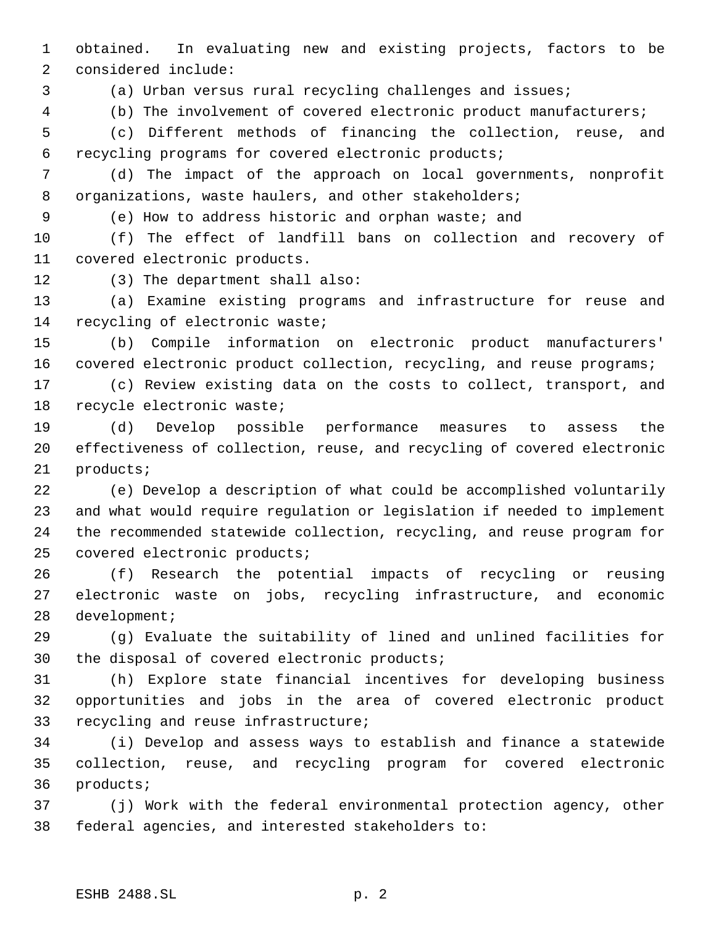obtained. In evaluating new and existing projects, factors to be considered include:

(a) Urban versus rural recycling challenges and issues;

(b) The involvement of covered electronic product manufacturers;

 (c) Different methods of financing the collection, reuse, and recycling programs for covered electronic products;

 (d) The impact of the approach on local governments, nonprofit 8 organizations, waste haulers, and other stakeholders;

(e) How to address historic and orphan waste; and

 (f) The effect of landfill bans on collection and recovery of covered electronic products.

(3) The department shall also:

 (a) Examine existing programs and infrastructure for reuse and recycling of electronic waste;

 (b) Compile information on electronic product manufacturers' 16 covered electronic product collection, recycling, and reuse programs;

 (c) Review existing data on the costs to collect, transport, and recycle electronic waste;

 (d) Develop possible performance measures to assess the effectiveness of collection, reuse, and recycling of covered electronic products;

 (e) Develop a description of what could be accomplished voluntarily and what would require regulation or legislation if needed to implement the recommended statewide collection, recycling, and reuse program for covered electronic products;

 (f) Research the potential impacts of recycling or reusing electronic waste on jobs, recycling infrastructure, and economic development;

 (g) Evaluate the suitability of lined and unlined facilities for the disposal of covered electronic products;

 (h) Explore state financial incentives for developing business opportunities and jobs in the area of covered electronic product recycling and reuse infrastructure;

 (i) Develop and assess ways to establish and finance a statewide collection, reuse, and recycling program for covered electronic products;

 (j) Work with the federal environmental protection agency, other federal agencies, and interested stakeholders to: